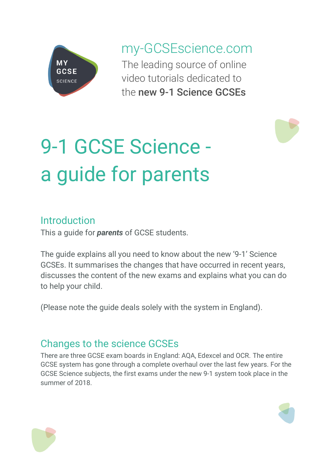

my-GCSEscience.com The leading source of online video tutorials dedicated to the new 9-1 Science GCSEs



# 9-1 GCSE Science a guide for parents

### Introduction

This a guide for *parents* of GCSE students.

The guide explains all you need to know about the new '9-1' Science GCSEs. It summarises the changes that have occurred in recent years, discusses the content of the new exams and explains what you can do to help your child.

(Please note the guide deals solely with the system in England).

## Changes to the science GCSEs

There are three GCSE exam boards in England: AQA, Edexcel and OCR. The entire GCSE system has gone through a complete overhaul over the last few years. For the GCSE Science subjects, the first exams under the new 9-1 system took place in the summer of 2018.



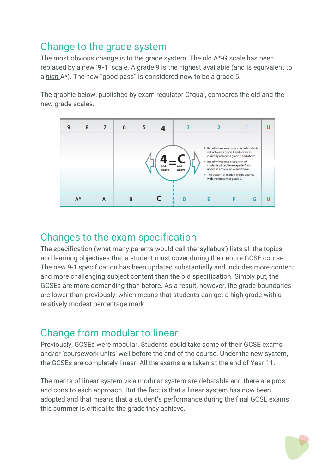## Change to the grade system

The most obvious change is to the grade system. The old A\*-G scale has been replaced by a new **'9-1'** scale. A grade 9 is the highest available (and is equivalent to a *high* A\*). The new "good pass" is considered now to be a grade 5.

The graphic below, published by exam regulator Ofqual, compares the old and the new grade scales.



### Changes to the exam specification

The specification (what many parents would call the 'syllabus') lists all the topics and learning objectives that a student must cover during their entire GCSE course. The new 9-1 specification has been updated substantially and includes more content and more challenging subject content than the old specification. Simply put, the GCSEs are more demanding than before. As a result, however, the grade boundaries are lower than previously, which means that students can get a high grade with a relatively modest percentage mark.

## Change from modular to linear

Previously, GCSEs were modular. Students could take some of their GCSE exams and/or 'coursework units' well before the end of the course. Under the new system, the GCSEs are completely linear. All the exams are taken at the end of Year 11.

The merits of linear system vs a modular system are debatable and there are pros and cons to each approach. But the fact is that a linear system has now been adopted and that means that a student's performance during the final GCSE exams this summer is critical to the grade they achieve.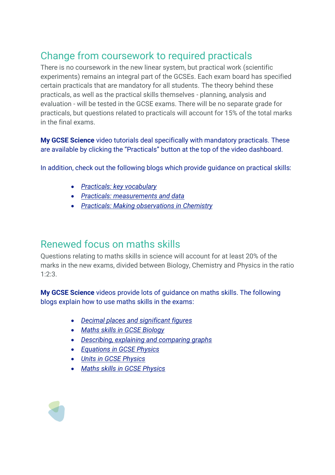## Change from coursework to required practicals

There is no coursework in the new linear system, but practical work (scientific experiments) remains an integral part of the GCSEs. Each exam board has specified certain practicals that are mandatory for all students. The theory behind these practicals, as well as the practical skills themselves - planning, analysis and evaluation - will be tested in the GCSE exams. There will be no separate grade for practicals, but questions related to practicals will account for 15% of the total marks in the final exams.

**My GCSE Science** video tutorials deal specifically with mandatory practicals. These are available by clicking the "Practicals" button at the top of the video dashboard.

In addition, check out the following blogs which provide guidance on practical skills:

- *[Practicals: key vocabulary](https://www.my-gcsescience.com/practicals-key-vocabulary/)*
- *[Practicals: measurements and data](https://www.my-gcsescience.com/practicals-measurements-data/)*
- *[Practicals: Making observations in](https://www.my-gcsescience.com/making-observations-chemistry/) Chemistry*

### Renewed focus on maths skills

Questions relating to maths skills in science will account for at least 20% of the marks in the new exams, divided between Biology, Chemistry and Physics in the ratio 1:2:3.

**My GCSE Science** videos provide lots of guidance on maths skills. The following blogs explain how to use maths skills in the exams:

- *[Decimal places and significant figures](https://www.my-gcsescience.com/decimal-places-significant-figures/)*
- *[Maths skills in GCSE Biology](https://www.my-gcsescience.com/maths-skills-gcse-biology/)*
- *[Describing, explaining and comparing](https://www.my-gcsescience.com/describing-explaining-comparing-graphs/) graphs*
- *[Equations in GCSE Physics](https://www.my-gcsescience.com/mathematical-relationships-gcse-physics/)*
- *[Units in GCSE Physics](https://www.my-gcsescience.com/maths-skills-in-gcse-physics/)*
- *[Maths skills in GCSE Physics](https://www.my-gcsescience.com/maths-skills-in-gcse-physics/)*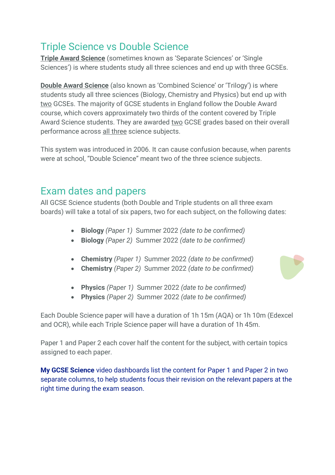## Triple Science vs Double Science

**Triple Award Science** (sometimes known as 'Separate Sciences' or 'Single Sciences') is where students study all three sciences and end up with three GCSEs.

**Double Award Science** (also known as 'Combined Science' or 'Trilogy') is where students study all three sciences (Biology, Chemistry and Physics) but end up with two GCSEs. The majority of GCSE students in England follow the Double Award course, which covers approximately two thirds of the content covered by Triple Award Science students. They are awarded two GCSE grades based on their overall performance across all three science subjects.

This system was introduced in 2006. It can cause confusion because, when parents were at school, "Double Science" meant two of the three science subjects.

### Exam dates and papers

All GCSE Science students (both Double and Triple students on all three exam boards) will take a total of six papers, two for each subject, on the following dates:

- **Biology** *(Paper 1)* Summer 2022 *(date to be confirmed)*
- **Biology** *(Paper 2)* Summer 2022 *(date to be confirmed)*
- **Chemistry** *(Paper 1)* Summer 2022 *(date to be confirmed)*
- **Chemistry** *(Paper 2)* Summer 2022 *(date to be confirmed)*



- **Physics** *(Paper 1)* Summer 2022 *(date to be confirmed)*
- **Physics** *(Paper 2)* Summer 2022 *(date to be confirmed)*

Each Double Science paper will have a duration of 1h 15m (AQA) or 1h 10m (Edexcel and OCR), while each Triple Science paper will have a duration of 1h 45m.

Paper 1 and Paper 2 each cover half the content for the subject, with certain topics assigned to each paper.

**My GCSE Science** video dashboards list the content for Paper 1 and Paper 2 in two separate columns, to help students focus their revision on the relevant papers at the right time during the exam season.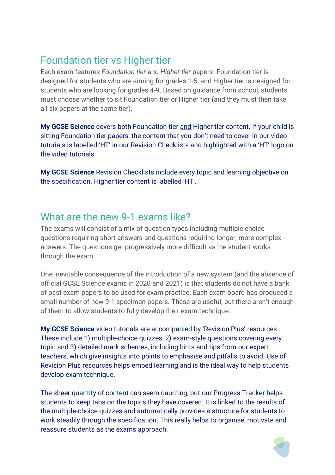## Foundation tier vs Higher tier

Each exam features *Foundation tier* and *Higher tier* papers. Foundation tier is designed for students who are aiming for grades 1-5, and Higher tier is designed for students who are looking for grades 4-9. Based on guidance from school, students must choose whether to sit Foundation tier or Higher tier (and they must then take all six papers at the same tier).

**My GCSE Science** covers both Foundation tier and Higher tier content. If your child is sitting Foundation tier papers, the content that you don't need to cover in our video tutorials is labelled 'HT' in our Revision Checklists and highlighted with a 'HT' logo on the video tutorials.

**My GCSE Science** Revision Checklists include every topic and learning objective on the specification. Higher tier content is labelled 'HT'.

#### What are the new 9-1 exams like?

The exams will consist of a mix of question types including multiple choice questions requiring short answers and questions requiring longer, more complex answers. The questions get progressively more difficult as the student works through the exam.

One inevitable consequence of the introduction of a new system (and the absence of official GCSE Science exams in 2020 and 2021) is that students do not have a bank of past exam papers to be used for exam practice. Each exam board has produced a small number of new 9-1 specimen papers. These are useful, but there aren't enough of them to allow students to fully develop their exam technique.

**My GCSE Science** video tutorials are accompanied by 'Revision Plus' resources. These include 1) multiple-choice quizzes, 2) exam-style questions covering every topic and 3) detailed mark schemes, including hints and tips from our expert teachers, which give insights into points to emphasise and pitfalls to avoid. Use of Revision Plus resources helps embed learning and is the ideal way to help students develop exam technique.

The sheer quantity of content can seem daunting, but our Progress Tracker helps students to keep tabs on the topics they have covered. It is linked to the results of the multiple-choice quizzes and automatically provides a structure for students to work steadily through the specification. This really helps to organise, motivate and reassure students as the exams approach.